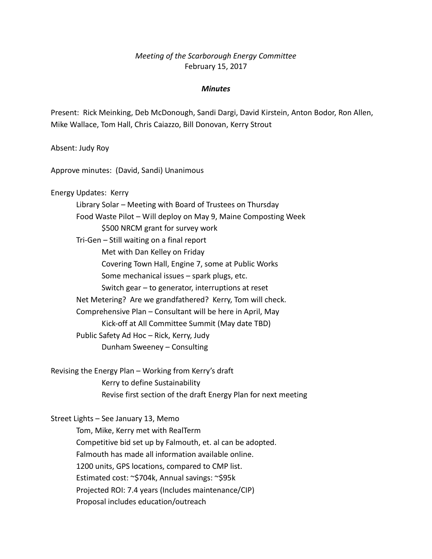## *Meeting of the Scarborough Energy Committee* February 15, 2017

## *Minutes*

Present: Rick Meinking, Deb McDonough, Sandi Dargi, David Kirstein, Anton Bodor, Ron Allen, Mike Wallace, Tom Hall, Chris Caiazzo, Bill Donovan, Kerry Strout

Absent: Judy Roy

Approve minutes: (David, Sandi) Unanimous

Energy Updates: Kerry Library Solar – Meeting with Board of Trustees on Thursday Food Waste Pilot – Will deploy on May 9, Maine Composting Week \$500 NRCM grant for survey work Tri-Gen – Still waiting on a final report Met with Dan Kelley on Friday Covering Town Hall, Engine 7, some at Public Works Some mechanical issues – spark plugs, etc. Switch gear – to generator, interruptions at reset Net Metering? Are we grandfathered? Kerry, Tom will check. Comprehensive Plan – Consultant will be here in April, May Kick-off at All Committee Summit (May date TBD) Public Safety Ad Hoc – Rick, Kerry, Judy Dunham Sweeney – Consulting

Revising the Energy Plan – Working from Kerry's draft Kerry to define Sustainability Revise first section of the draft Energy Plan for next meeting

Street Lights – See January 13, Memo Tom, Mike, Kerry met with RealTerm Competitive bid set up by Falmouth, et. al can be adopted. Falmouth has made all information available online. 1200 units, GPS locations, compared to CMP list. Estimated cost: ~\$704k, Annual savings: ~\$95k Projected ROI: 7.4 years (Includes maintenance/CIP) Proposal includes education/outreach